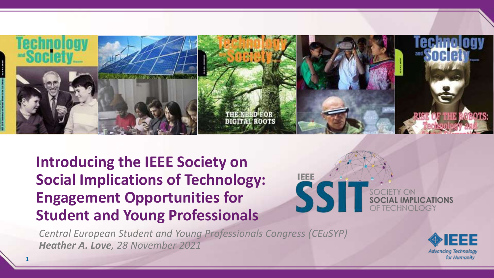

**Introducing the IEEE Society on Social Implications of Technology: Engagement Opportunities for Student and Young Professionals**



*Central European Student and Young Professionals Congress (CEuSYP) Heather A. Love, 28 November 2021*



1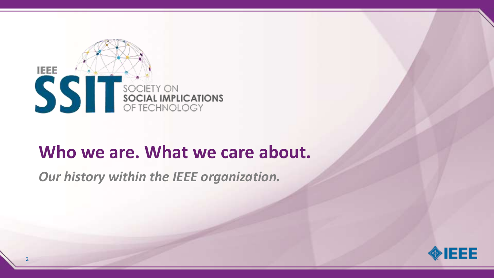

### **Who we are. What we care about.**

*Our history within the IEEE organization.*

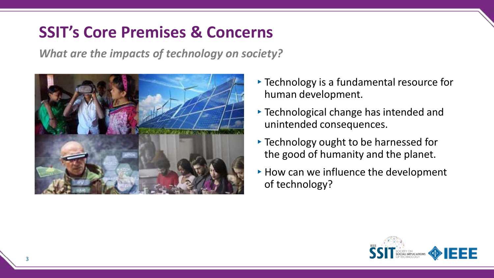#### **SSIT's Core Premises & Concerns**

*What are the impacts of technology on society?*



- ▸Technology is a fundamental resource for human development.
- ▸Technological change has intended and unintended consequences.
- ▸Technology ought to be harnessed for the good of humanity and the planet.
- $\triangleright$  How can we influence the development of technology?

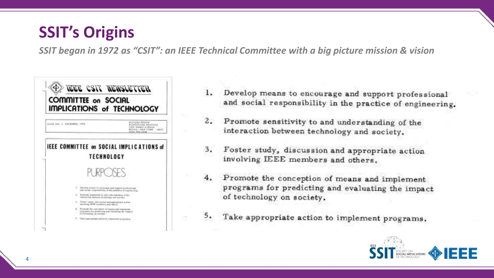#### **SSIT's Origins**

*SSIT began in 1972 as "CSIT": an IEEE Technical Committee with a big picture mission & vision*



- Develop means to encourage and support professional  $1.$ and social responsibility in the practice of engineering.
- $\mathbf{z}$ . Promote sensitivity to and understanding of the interaction between technology and society.
- Foster study, discussion and appropriate action 3. involving IEEE members and others.
- Promote the conception of means and implement  $4.$ programs for predicting and evaluating the impact of technology on society.
- 5. Take appropriate action to implement programs.

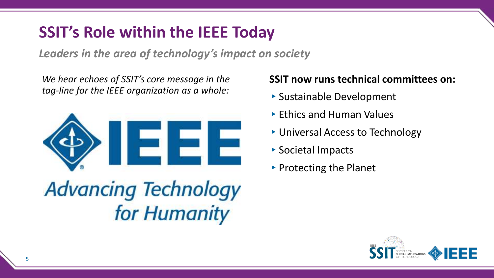#### **SSIT's Role within the IEEE Today**

*Leaders in the area of technology's impact on society*

*We hear echoes of SSIT's core message in the tag-line for the IEEE organization as a whole:*



# **Advancing Technology** for Humanity

#### **SSIT now runs technical committees on:**

- ▸Sustainable Development
- ▸Ethics and Human Values
- ▸Universal Access to Technology
- ▸Societal Impacts
- ▸Protecting the Planet

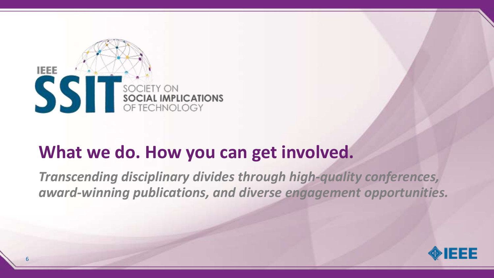

### **What we do. How you can get involved.**

*Transcending disciplinary divides through high-quality conferences, award-winning publications, and diverse engagement opportunities.*

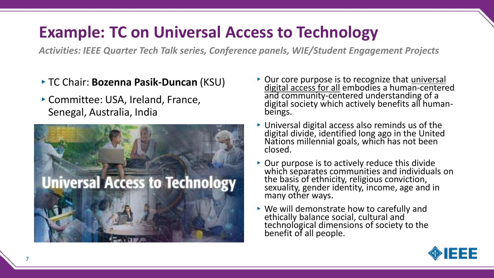#### **Example: TC on Universal Access to Technology**

*Activities: IEEE Quarter Tech Talk series, Conference panels, WIE/Student Engagement Projects*

- ▸TC Chair: **Bozenna Pasik-Duncan** (KSU)
- ▸Committee: USA, Ireland, France, Senegal, Australia, India



- ▶ Our core purpose is to recognize that universal digital access for all embodies a human-centered and community-centered understanding of a digital society which actively benefits all humanbeings.
- ▸Universal digital access also reminds us of the digital divide, identified long ago in the United Nations millennial goals, which has not been closed.
- ▶ Our purpose is to actively reduce this divide which separates communities and individuals on the basis of ethnicity, religious conviction, sexuality, gender identity, income, age and in many other ways.
- ▸We will demonstrate how to carefully and ethically balance social, cultural and technological dimensions of society to the benefit of all people.

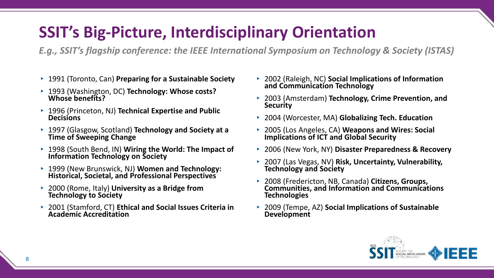#### **SSIT's Big-Picture, Interdisciplinary Orientation**

*E.g., SSIT's flagship conference: the IEEE International Symposium on Technology & Society (ISTAS)*

- ▸ 1991 (Toronto, Can) **Preparing for a Sustainable Society**
- ▸ 1993 (Washington, DC) **Technology: Whose costs? Whose benefits?**
- ▸ 1996 (Princeton, NJ) **Technical Expertise and Public Decisions**
- ▸ 1997 (Glasgow, Scotland) **Technology and Society at a Time of Sweeping Change**
- ▸ 1998 (South Bend, IN) **Wiring the World: The Impact of Information Technology on Society**
- ▸ 1999 (New Brunswick, NJ) **Women and Technology: Historical, Societal, and Professional Perspectives**
- ▸ 2000 (Rome, Italy) **University as a Bridge from Technology to Society**
- ▸ 2001 (Stamford, CT) **Ethical and Social Issues Criteria in Academic Accreditation**
- ▸ 2002 (Raleigh, NC) **Social Implications of Information and Communication Technology**
- ▸ 2003 (Amsterdam) **Technology, Crime Prevention, and Security**
- ▸ 2004 (Worcester, MA) **Globalizing Tech. Education**
- ▸ 2005 (Los Angeles, CA) **Weapons and Wires: Social Implications of ICT and Global Security**
- ▸ 2006 (New York, NY) **Disaster Preparedness & Recovery**
- ▸ 2007 (Las Vegas, NV) **Risk, Uncertainty, Vulnerability, Technology and Society**
- ▸ 2008 (Fredericton, NB, Canada) **Citizens, Groups, Communities, and Information and Communications Technologies**
- ▸ 2009 (Tempe, AZ) **Social Implications of Sustainable Development**

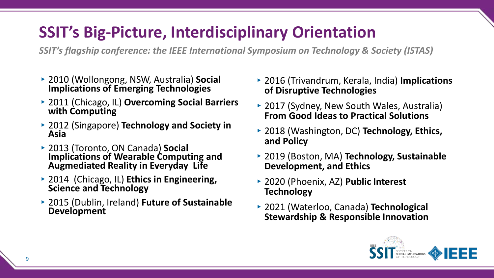#### **SSIT's Big-Picture, Interdisciplinary Orientation**

*SSIT's flagship conference: the IEEE International Symposium on Technology & Society (ISTAS)*

- ▸2010 (Wollongong, NSW, Australia) **Social Implications of Emerging Technologies**
- ▸2011 (Chicago, IL) **Overcoming Social Barriers with Computing**
- ▸2012 (Singapore) **Technology and Society in Asia**
- ▸2013 (Toronto, ON Canada) **Social Implications of Wearable Computing and Augmediated Reality in Everyday Life**
- ▸2014 (Chicago, IL) **Ethics in Engineering, Science and Technology**
- ▸2015 (Dublin, Ireland) **Future of Sustainable Development**
- ▸2016 (Trivandrum, Kerala, India) **Implications of Disruptive Technologies**
- ▸2017 (Sydney, New South Wales, Australia) **From Good Ideas to Practical Solutions**
- ▸2018 (Washington, DC) **Technology, Ethics, and Policy**
- ▸2019 (Boston, MA) **Technology, Sustainable Development, and Ethics**
- ▸2020 (Phoenix, AZ) **Public Interest Technology**
- ▸2021 (Waterloo, Canada) **Technological Stewardship & Responsible Innovation**

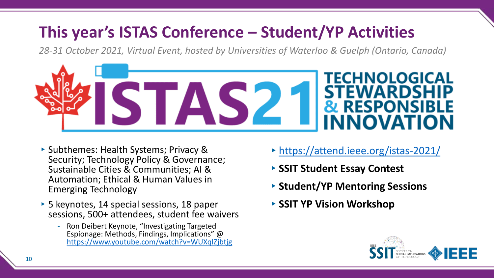### **This year's ISTAS Conference – Student/YP Activities**

*28-31 October 2021, Virtual Event, hosted by Universities of Waterloo & Guelph (Ontario, Canada)*



- ▸Subthemes: Health Systems; Privacy & Security; Technology Policy & Governance; Sustainable Cities & Communities; AI & Automation; Ethical & Human Values in Emerging Technology
- ▸5 keynotes, 14 special sessions, 18 paper sessions, 500+ attendees, student fee waivers
	- Ron Deibert Keynote, "Investigating Targeted Espionage: Methods, Findings, Implications" @ <https://www.youtube.com/watch?v=WUXqlZjbtjg>
- ▸<https://attend.ieee.org/istas-2021/>
- ▸**SSIT Student Essay Contest**
- ▸**Student/YP Mentoring Sessions**
- ▸**SSIT YP Vision Workshop**

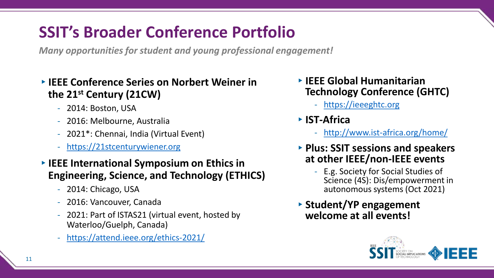### **SSIT's Broader Conference Portfolio**

*Many opportunities for student and young professional engagement!*

#### ▸**IEEE Conference Series on Norbert Weiner in the 21st Century (21CW)**

- 2014: Boston, USA
- 2016: Melbourne, Australia
- 2021\*: Chennai, India (Virtual Event)
- [https://21stcenturywiener.org](https://21stcenturywiener.org/)
- ▸**IEEE International Symposium on Ethics in Engineering, Science, and Technology (ETHICS)**
	- 2014: Chicago, USA
	- 2016: Vancouver, Canada
	- 2021: Part of ISTAS21 (virtual event, hosted by Waterloo/Guelph, Canada)
	- <https://attend.ieee.org/ethics-2021/>
- ▸**IEEE Global Humanitarian Technology Conference (GHTC)**
	- [https://ieeeghtc.org](https://ieeeghtc.org/)
- ▸**IST-Africa**
	- <http://www.ist-africa.org/home/>
- ▸**Plus: SSIT sessions and speakers at other IEEE/non-IEEE events** 
	- E.g. Society for Social Studies of Science (4S): Dis/empowerment in autonomous systems (Oct 2021)
- ▸**Student/YP engagement welcome at all events!**

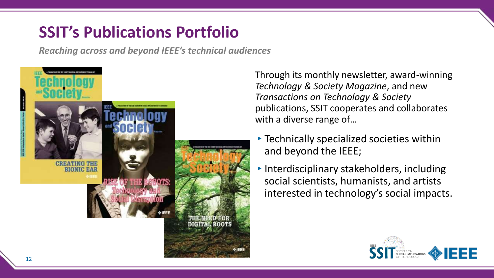#### **SSIT's Publications Portfolio**

*Reaching across and beyond IEEE's technical audiences*



Through its monthly newsletter, award-winning *Technology & Society Magazine*, and new *Transactions on Technology & Society* publications, SSIT cooperates and collaborates with a diverse range of…

- ▸Technically specialized societies within and beyond the IEEE;
- $\triangleright$  Interdisciplinary stakeholders, including social scientists, humanists, and artists interested in technology's social impacts.

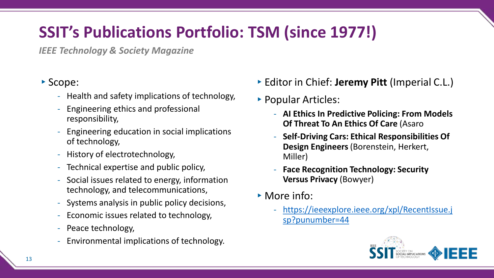### **SSIT's Publications Portfolio: TSM (since 1977!)**

*IEEE Technology & Society Magazine*

#### ▸Scope:

- Health and safety implications of technology,
- Engineering ethics and professional responsibility,
- Engineering education in social implications of technology,
- History of electrotechnology,
- Technical expertise and public policy,
- Social issues related to energy, information technology, and telecommunications,
- Systems analysis in public policy decisions,
- Economic issues related to technology,
- Peace technology,
- Environmental implications of technology.
- ▸Editor in Chief: **Jeremy Pitt** (Imperial C.L.)
- ▸Popular Articles:
	- **AI Ethics In Predictive Policing: From Models Of Threat To An Ethics Of Care** (Asaro
	- **Self-Driving Cars: Ethical Responsibilities Of Design Engineers** (Borenstein, Herkert, Miller)
	- **Face Recognition Technology: Security Versus Privacy** (Bowyer)
- ▶ More info:
	- [https://ieeexplore.ieee.org/xpl/RecentIssue.j](https://ieeexplore.ieee.org/xpl/RecentIssue.jsp?punumber=44) sp?punumber=44

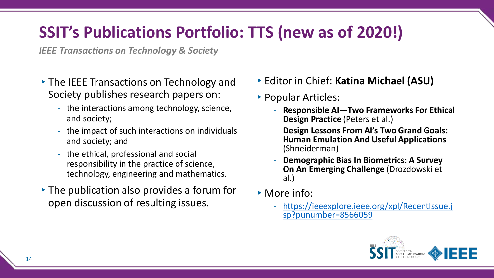### **SSIT's Publications Portfolio: TTS (new as of 2020!)**

*IEEE Transactions on Technology & Society*

- ▸The IEEE Transactions on Technology and Society publishes research papers on:
	- the interactions among technology, science, and society;
	- the impact of such interactions on individuals and society; and
	- the ethical, professional and social responsibility in the practice of science, technology, engineering and mathematics.
- ▸The publication also provides a forum for open discussion of resulting issues.
- ▸Editor in Chief: **Katina Michael (ASU)**
- ▸Popular Articles:
	- **Responsible AI—Two Frameworks For Ethical Design Practice** (Peters et al.)
	- **Design Lessons From AI's Two Grand Goals: Human Emulation And Useful Applications**  (Shneiderman)
	- **Demographic Bias In Biometrics: A Survey On An Emerging Challenge** (Drozdowski et al.)
- ▸More info:
	- [https://ieeexplore.ieee.org/xpl/RecentIssue.j](https://ieeexplore.ieee.org/xpl/RecentIssue.jsp?punumber=8566059) sp?punumber=8566059

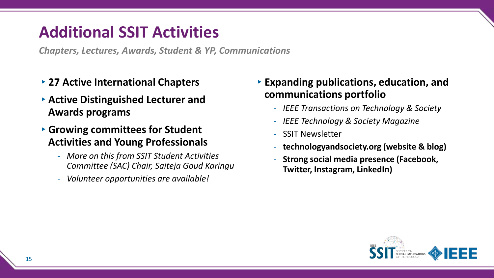#### **Additional SSIT Activities**

*Chapters, Lectures, Awards, Student & YP, Communications*

- ▸**27 Active International Chapters**
- ▸**Active Distinguished Lecturer and Awards programs**
- ▸**Growing committees for Student Activities and Young Professionals**
	- *More on this from SSIT Student Activities Committee (SAC) Chair, Saiteja Goud Karingu*
	- *Volunteer opportunities are available!*
- ▸**Expanding publications, education, and communications portfolio**
	- *IEEE Transactions on Technology & Society*
	- *IEEE Technology & Society Magazine*
	- SSIT Newsletter
	- **technologyandsociety.org (website & blog)**
	- **Strong social media presence (Facebook, Twitter, Instagram, LinkedIn)**